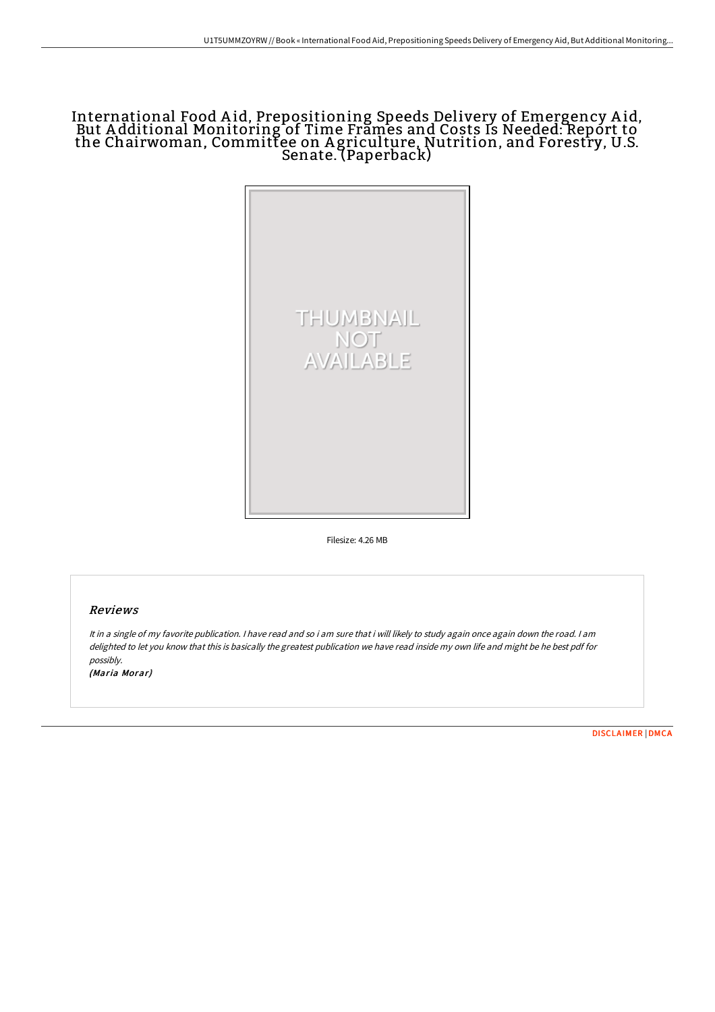# International Food A id, Prepositioning Speeds Delivery of Emergency A id, But A dditional Monitoring of Time Frames and Costs Is Needed: Report to the Chairwoman, Committee on A griculture, Nutrition, and Forestry, U.S. Senate. (Paperback)



Filesize: 4.26 MB

### Reviews

It in <sup>a</sup> single of my favorite publication. <sup>I</sup> have read and so i am sure that i will likely to study again once again down the road. <sup>I</sup> am delighted to let you know that this is basically the greatest publication we have read inside my own life and might be he best pdf for possibly.

(Maria Morar)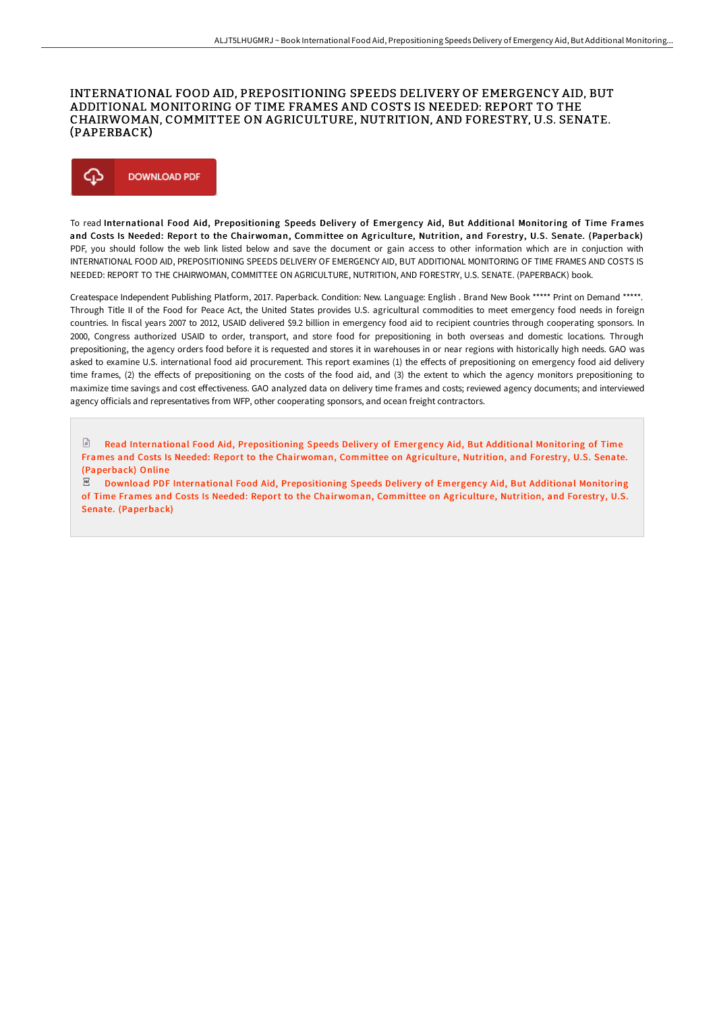## INTERNATIONAL FOOD AID, PREPOSITIONING SPEEDS DELIVERY OF EMERGENCY AID, BUT ADDITIONAL MONITORING OF TIME FRAMES AND COSTS IS NEEDED: REPORT TO THE CHAIRWOMAN, COMMITTEE ON AGRICULTURE, NUTRITION, AND FORESTRY, U.S. SENATE. (PAPERBACK)



To read International Food Aid, Prepositioning Speeds Delivery of Emergency Aid, But Additional Monitoring of Time Frames and Costs Is Needed: Report to the Chairwoman, Committee on Agriculture, Nutrition, and Forestry, U.S. Senate. (Paperback) PDF, you should follow the web link listed below and save the document or gain access to other information which are in conjuction with INTERNATIONAL FOOD AID, PREPOSITIONING SPEEDS DELIVERY OF EMERGENCY AID, BUT ADDITIONAL MONITORING OF TIME FRAMES AND COSTS IS NEEDED: REPORT TO THE CHAIRWOMAN, COMMITTEE ON AGRICULTURE, NUTRITION, AND FORESTRY, U.S. SENATE. (PAPERBACK) book.

Createspace Independent Publishing Platform, 2017. Paperback. Condition: New. Language: English . Brand New Book \*\*\*\*\* Print on Demand \*\*\*\*\*. Through Title II of the Food for Peace Act, the United States provides U.S. agricultural commodities to meet emergency food needs in foreign countries. In fiscal years 2007 to 2012, USAID delivered \$9.2 billion in emergency food aid to recipient countries through cooperating sponsors. In 2000, Congress authorized USAID to order, transport, and store food for prepositioning in both overseas and domestic locations. Through prepositioning, the agency orders food before it is requested and stores it in warehouses in or near regions with historically high needs. GAO was asked to examine U.S. international food aid procurement. This report examines (1) the effects of prepositioning on emergency food aid delivery time frames, (2) the effects of prepositioning on the costs of the food aid, and (3) the extent to which the agency monitors prepositioning to maximize time savings and cost effectiveness. GAO analyzed data on delivery time frames and costs; reviewed agency documents; and interviewed agency officials and representatives from WFP, other cooperating sponsors, and ocean freight contractors.

 $\mathbb{R}$ Read International Food Aid, [Prepositioning](http://techno-pub.tech/international-food-aid-prepositioning-speeds-del.html) Speeds Delivery of Emergency Aid, But Additional Monitoring of Time Frames and Costs Is Needed: Report to the Chairwoman, Committee on Agriculture, Nutrition, and Forestry, U.S. Senate. (Paperback) Online

Download PDF International Food Aid, [Prepositioning](http://techno-pub.tech/international-food-aid-prepositioning-speeds-del.html) Speeds Delivery of Emergency Aid, But Additional Monitoring of Time Frames and Costs Is Needed: Report to the Chairwoman, Committee on Agriculture, Nutrition, and Forestry, U.S. Senate. (Paperback)